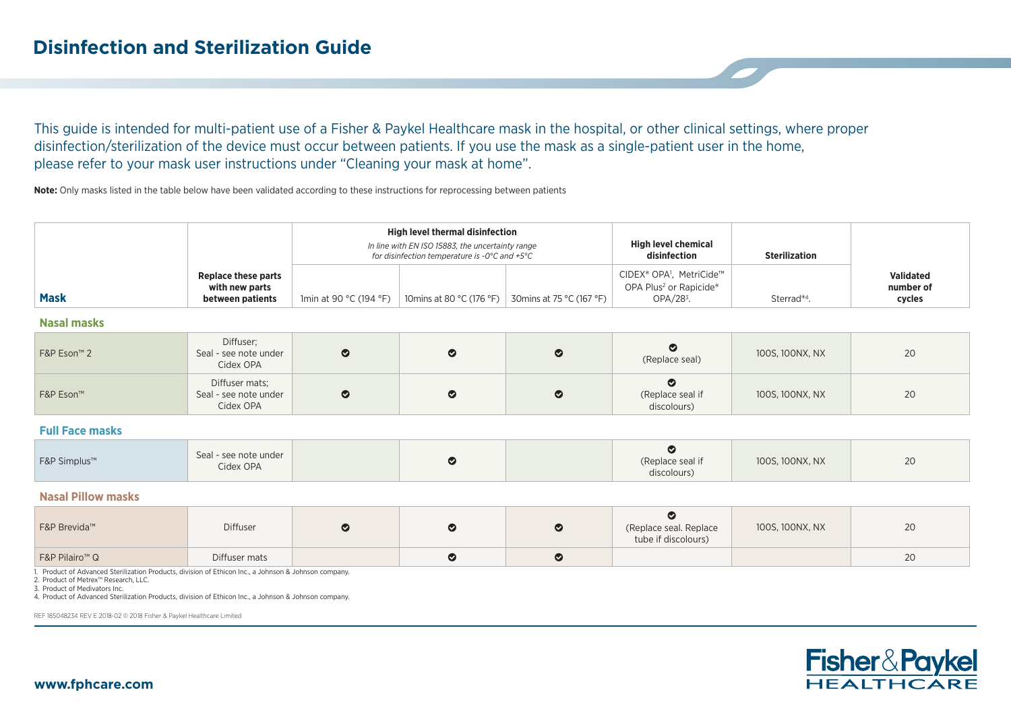This guide is intended for multi-patient use of a Fisher & Paykel Healthcare mask in the hospital, or other clinical settings, where proper disinfection/sterilization of the device must occur between patients. If you use the mask as a single-patient user in the home, please refer to your mask user instructions under "Cleaning your mask at home".

**Note:** Only masks listed in the table below have been validated according to these instructions for reprocessing between patients

|             |                                                           | High level thermal disinfection<br>In line with EN ISO 15883, the uncertainty range<br>for disinfection temperature is -0°C and +5°C |  |                                                     | <b>High level chemical</b><br>disinfection                                                            | <b>Sterilization</b>    |                                         |
|-------------|-----------------------------------------------------------|--------------------------------------------------------------------------------------------------------------------------------------|--|-----------------------------------------------------|-------------------------------------------------------------------------------------------------------|-------------------------|-----------------------------------------|
| <b>Mask</b> | Replace these parts<br>with new parts<br>between patients | 1min at 90 °C (194 °F)                                                                                                               |  | 10 mins at 80 °C (176 °F) 30 mins at 75 °C (167 °F) | CIDEX® OPA <sup>1</sup> , MetriCide™<br>OPA Plus <sup>2</sup> or Rapicide <sup>®</sup><br>$OPA/283$ . | Sterrad <sup>®4</sup> . | <b>Validated</b><br>number of<br>cycles |

## **Nasal masks**

| F&P Eson™ 2 | Diffuser;<br>Seal - see note under<br>Cidex OPA      | $\bullet$ | $\bullet$ | (Replace seal)                  | 100S, 100NX, NX | 20 |
|-------------|------------------------------------------------------|-----------|-----------|---------------------------------|-----------------|----|
| F&P Eson™   | Diffuser mats;<br>Seal - see note under<br>Cidex OPA | $\bullet$ | $\bullet$ | (Replace seal if<br>discolours) | 100S, 100NX, NX | 20 |

## **Full Face masks**

| Seal - see note under<br>F&P Simplus™<br>Cidex OPA | (Replace seal if<br>discolours) | 100S, 100NX, NX | 20 |
|----------------------------------------------------|---------------------------------|-----------------|----|
|----------------------------------------------------|---------------------------------|-----------------|----|

## **Nasal Pillow masks**

| F&P Brevida™               | Diffuser      |  | (Replace seal. Replace<br>tube if discolours) | 100S, 100NX, NX | 20 |
|----------------------------|---------------|--|-----------------------------------------------|-----------------|----|
| F&P Pilairo <sup>™</sup> Q | Diffuser mats |  |                                               |                 | 20 |

1. Product of Advanced Sterilization Products, division of Ethicon Inc., a Johnson & Johnson company.

2. Product of Metrex™ Research, LLC.

3. Product of Medivators Inc.

4. Product of Advanced Sterilization Products, division of Ethicon Inc., a Johnson & Johnson company.

REF 185048234 REV E 2018-02 © 2018 Fisher & Paykel Healthcare Limited